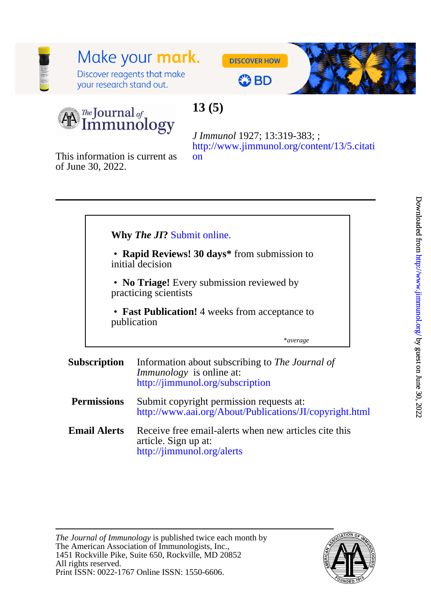# Make your mark.

Discover reagents that make your research stand out.





# **OBD**



# **13 (5)**

[on](http://www.jimmunol.org/content/13/5.citation) [http://www.jimmunol.org/content/13/5.citati](http://www.jimmunol.org/content/13/5.citation) *J Immunol* 1927; 13:319-383; ;

of June 30, 2022. This information is current as

|                     |                                                                    | <b>Why The JI?</b> Submit online.                                                                                      |
|---------------------|--------------------------------------------------------------------|------------------------------------------------------------------------------------------------------------------------|
|                     | • Rapid Reviews! 30 days* from submission to<br>initial decision   |                                                                                                                        |
|                     | • No Triage! Every submission reviewed by<br>practicing scientists |                                                                                                                        |
|                     |                                                                    | • Fast Publication! 4 weeks from acceptance to<br>publication                                                          |
|                     |                                                                    | *average                                                                                                               |
| <b>Subscription</b> |                                                                    | Information about subscribing to The Journal of<br><i>Immunology</i> is online at:<br>http://jimmunol.org/subscription |
| <b>Permissions</b>  |                                                                    | Submit copyright permission requests at:<br>http://www.aai.org/About/Publications/JI/copyright.html                    |
| <b>Email Alerts</b> |                                                                    | Receive free email-alerts when new articles cite this<br>article. Sign up at:<br>http://jimmunol.org/alerts            |

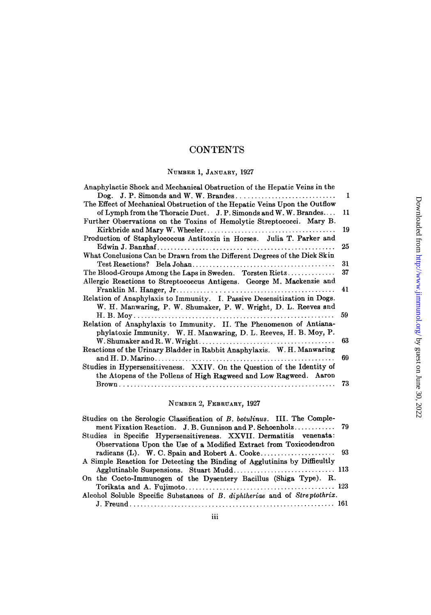# **CONTENTS**

# NUMBER 1, JANUARY, 1927

| Anaphylactic Shock and Mechanical Obstruction of the Hepatic Veins in the  |    |
|----------------------------------------------------------------------------|----|
|                                                                            | 1  |
| The Effect of Mechanical Obstruction of the Hepatic Veins Upon the Outflow |    |
| of Lymph from the Thoracic Duct. J. P. Simonds and W. W. Brandes           | 11 |
| Further Observations on the Toxins of Hemolytic Streptococci. Mary B.      |    |
|                                                                            | 19 |
| Production of Staphylococcus Antitoxin in Horses. Julia T. Parker and      |    |
|                                                                            | 25 |
| What Conclusions Can be Drawn from the Different Degrees of the Dick Skin  |    |
|                                                                            | 31 |
| The Blood-Groups Among the Laps in Sweden. Torsten Rietz                   | 37 |
| Allergic Reactions to Streptococcus Antigens. George M. Mackenzie and      |    |
|                                                                            | 41 |
| Relation of Anaphylaxis to Immunity. I. Passive Desensitization in Dogs.   |    |
| W. H. Manwaring, P. W. Shumaker, P. W. Wright, D. L. Reeves and            |    |
|                                                                            | 59 |
| Relation of Anaphylaxis to Immunity. II. The Phenomenon of Antiana-        |    |
| phylatoxic Immunity. W. H. Manwaring, D. L. Reeves, H. B. Moy, P.          |    |
|                                                                            | 63 |
| Reactions of the Urinary Bladder in Rabbit Anaphylaxis. W. H. Manwaring    |    |
|                                                                            | 69 |
| Studies in Hypersensitiveness. XXIV. On the Question of the Identity of    |    |
| the Atopens of the Pollens of High Ragweed and Low Ragweed. Aaron          |    |
|                                                                            | 73 |
|                                                                            |    |

# NUMBER 2, FEBRUARY, 1927

| Studies on the Serologic Classification of B. botulinus. III. The Comple-  |  |
|----------------------------------------------------------------------------|--|
|                                                                            |  |
| Studies in Specific Hypersensitiveness. XXVII. Dermatitis venenata:        |  |
| Observations Upon the Use of a Modified Extract from Toxicodendron         |  |
|                                                                            |  |
| A Simple Reaction for Detecting the Binding of Agglutining by Difficultly  |  |
|                                                                            |  |
| On the Cocto-Immunogen of the Dysentery Bacillus (Shiga Type). R.          |  |
|                                                                            |  |
| Alcohol Soluble Specific Substances of B. diphtheriae and of Streptothrix. |  |
|                                                                            |  |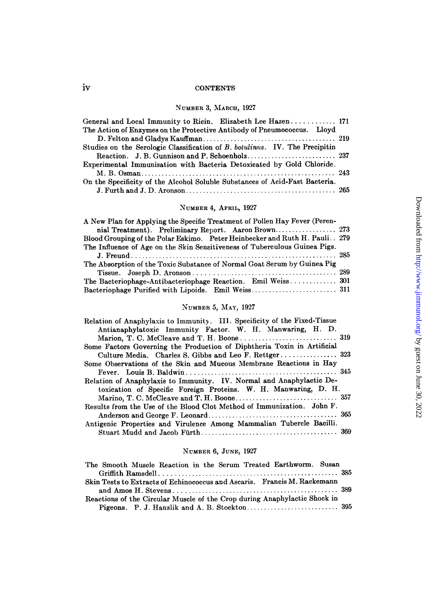#### **CONTENTS**

#### NUMBER 3, MARCH, 1927

| General and Local Immunity to Ricin. Elizabeth Lee Hazen 171                |  |
|-----------------------------------------------------------------------------|--|
| The Action of Enzymes on the Protective Antibody of Pneumococcus. Lloyd     |  |
|                                                                             |  |
| Studies on the Serologic Classification of B. botulinus. IV. The Precipitin |  |
|                                                                             |  |
| Experimental Immunisation with Bacteria Detoxicated by Gold Chloride.       |  |
|                                                                             |  |
| On the Specificity of the Alcohol Soluble Substances of Acid-Fast Bacteria. |  |
|                                                                             |  |

# NUMBER 4, APRIL, 1927

| A New Plan for Applying the Specific Treatment of Pollen Hay Fever (Peren-  |  |
|-----------------------------------------------------------------------------|--|
|                                                                             |  |
| Blood Grouping of the Polar Eskimo. Peter Heinbecker and Ruth H. Pauli. 279 |  |
| The Influence of Age on the Skin Sensitiveness of Tuberculous Guinea Pigs.  |  |
|                                                                             |  |
| The Absorption of the Toxic Substance of Normal Goat Serum by Guinea Pig    |  |
|                                                                             |  |
|                                                                             |  |
|                                                                             |  |

# NUMBER 5, MAY, 1927

| Relation of Anaphylaxis to Immunity. III. Specificity of the Fixed-Tissue |
|---------------------------------------------------------------------------|
| Antianaphylatoxic Immunity Factor. W. H. Manwaring, H. D.                 |
|                                                                           |
| Some Factors Governing the Production of Diphtheria Toxin in Artificial   |
| Culture Media. Charles S. Gibbs and Leo F. Rettger 323                    |
| Some Observations of the Skin and Mucous Membrane Reactions in Hay        |
|                                                                           |
| Relation of Anaphylaxis to Immunity. IV. Normal and Anaphylactic De-      |
| toxication of Specific Foreign Proteins. W. H. Manwaring, D. H.           |
|                                                                           |
| Results from the Use of the Blood Clot Method of Immunization. John F.    |
|                                                                           |
| Antigenic Properties and Virulence Among Mammalian Tubercle Bacilli.      |
|                                                                           |

# NUMBEa 6, JUNE, 1927

| The Smooth Muscle Reaction in the Serum Treated Earthworm. Susan          |  |
|---------------------------------------------------------------------------|--|
|                                                                           |  |
| Skin Tests to Extracts of Echinococcus and Ascaris. Francis M. Rackemann  |  |
|                                                                           |  |
| Reactions of the Circular Muscle of the Crop during Anaphylactic Shock in |  |
|                                                                           |  |